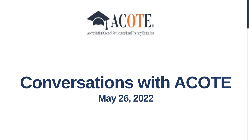

### **Conversations with ACOTE May 26, 2022**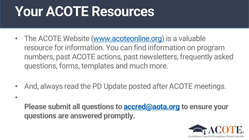### **Your ACOTE Resources**

•

- The ACOTE Website [\(www.acoteonline.org](http://www.acoteonline.org/)) is a valuable resource for information. You can find information on program numbers, past ACOTE actions, past newsletters, frequently asked questions, forms, templates and much more.
- And, always read the PD Update posted after ACOTE meetings.
	- **Please submit all questions to [accred@aota.org](mailto:accred@aota.org) to ensure your questions are answered promptly.**

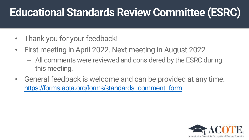#### **Educational Standards Review Committee (ESRC)**

- Thank you for your feedback!
- First meeting in April 2022. Next meeting in August 2022
	- All comments were reviewed and considered by the ESRC during this meeting.
- General feedback is welcome and can be provided at any time. [https://forms.aota.org/forms/standards\\_comment\\_form](https://forms.aota.org/forms/standards_comment_form)

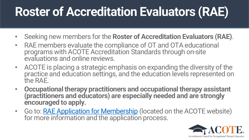#### **Roster of Accreditation Evaluators (RAE)**

- Seeking new members for the **Roster of Accreditation Evaluators (RAE)**.
- RAE members evaluate the compliance of OT and OTA educational programs with ACOTE Accreditation Standards through on-site evaluations and online reviews.
- ACOTE is placing a strategic emphasis on expanding the diversity of the practice and education settings, and the education levels represented on the RAE.
- **Occupational therapy practitioners and occupational therapy assistant (practitioners and educators) are especially needed and are strongly encouraged to apply.**
- Go to: [RAE Application for Membership](https://forms.aota.org/forms/rae_application) (located on the ACOTE website) for more information and the application process.

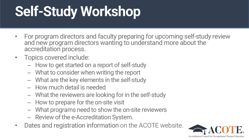# **Self-Study Workshop**

- For program directors and faculty preparing for upcoming self-study review and new program directors wanting to understand more about the accreditation process.
- Topics covered include:
	- How to get started on a report of self-study
	- What to consider when writing the report
	- What are the key elements in the self-study
	- How much detail is needed
	- What the reviewers are looking for in the self-study
	- How to prepare for the on-site visit
	- What programs need to show the on-site reviewers
	- Review of the e-Accreditation System.
- Dates and registration information on the ACOTE website.

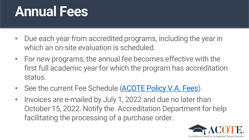#### **Annual Fees**

- Due each year from accredited programs, including the year in which an on-site evaluation is scheduled.
- For new programs, the annual fee becomes effective with the first full academic year for which the program has accreditation status.
- See the current Fee Schedule [\(ACOTE Policy V.A. Fees\)](https://acoteonline.org/download/4278).
- Invoices are e-mailed by July 1, 2022 and due no later than October 15, 2022. Notify the Accreditation Department for help facilitating the processing of a purchase order.

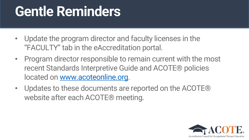### **Gentle Reminders**

- Update the program director and faculty licenses in the "FACULTY" tab in the eAccreditation portal.
- Program director responsible to remain current with the most recent Standards Interpretive Guide and ACOTE® policies located on [www.acoteonline.org.](http://www.acoteonline.org/)
- Updates to these documents are reported on the ACOTE® website after each ACOTE® meeting.

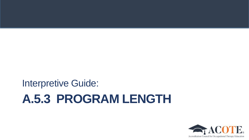#### **A.5.3 PROGRAM LENGTH** Interpretive Guide:

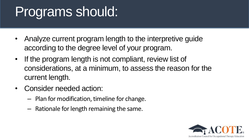### Programs should:

- Analyze current program length to the interpretive guide according to the degree level of your program.
- If the program length is not compliant, review list of considerations, at a minimum, to assess the reason for the current length.
- Consider needed action:
	- Plan for modification, timeline for change.
	- Rationale for length remaining the same.

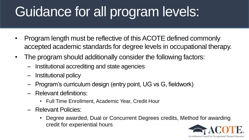## Guidance for all program levels:

- Program length must be reflective of this ACOTE defined commonly accepted academic standards for degree levels in occupational therapy.
- The program should additionally consider the following factors:
	- Institutional accrediting and state agencies
	- Institutional policy
	- Program's curriculum design (entry point, UG vs G, fieldwork)
	- Relevant definitions:
		- Full Time Enrollment, Academic Year, Credit Hour
	- Relevant Policies:
		- Degree awarded, Dual or Concurrent Degrees credits, Method for awarding credit for experiential hours

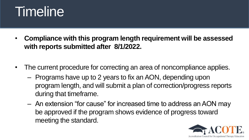#### **Timeline**

- **Compliance with this program length requirement will be assessed with reports submitted after 8/1/2022.**
- The current procedure for correcting an area of noncompliance applies.
	- Programs have up to 2 years to fix an AON, depending upon program length, and will submit a plan of correction/progress reports during that timeframe.
	- An extension "for cause" for increased time to address an AON may be approved if the program shows evidence of progress toward meeting the standard.